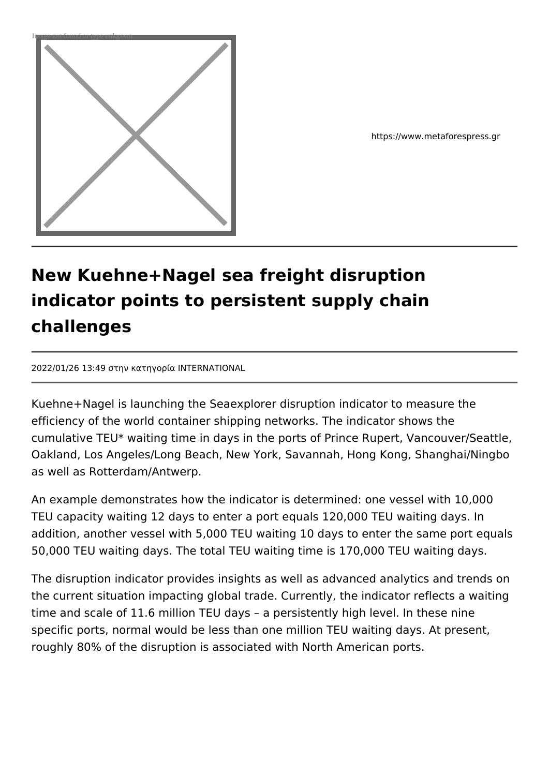

https://www.metaforespress.gr

## **New Kuehne+Nagel sea freight disruption indicator points to persistent supply chain challenges**

2022/01/26 13:49 στην κατηγορία INTERNATIONAL

Kuehne+Nagel is launching the Seaexplorer disruption indicator to measure the efficiency of the world container shipping networks. The indicator shows the cumulative TEU\* waiting time in days in the ports of Prince Rupert, Vancouver/Seattle, Oakland, Los Angeles/Long Beach, New York, Savannah, Hong Kong, Shanghai/Ningbo as well as Rotterdam/Antwerp.

An example demonstrates how the indicator is determined: one vessel with 10,000 TEU capacity waiting 12 days to enter a port equals 120,000 TEU waiting days. In addition, another vessel with 5,000 TEU waiting 10 days to enter the same port equals 50,000 TEU waiting days. The total TEU waiting time is 170,000 TEU waiting days.

The disruption indicator provides insights as well as advanced analytics and trends on the current situation impacting global trade. Currently, the indicator reflects a waiting time and scale of 11.6 million TEU days – a persistently high level. In these nine specific ports, normal would be less than one million TEU waiting days. At present, roughly 80% of the disruption is associated with North American ports.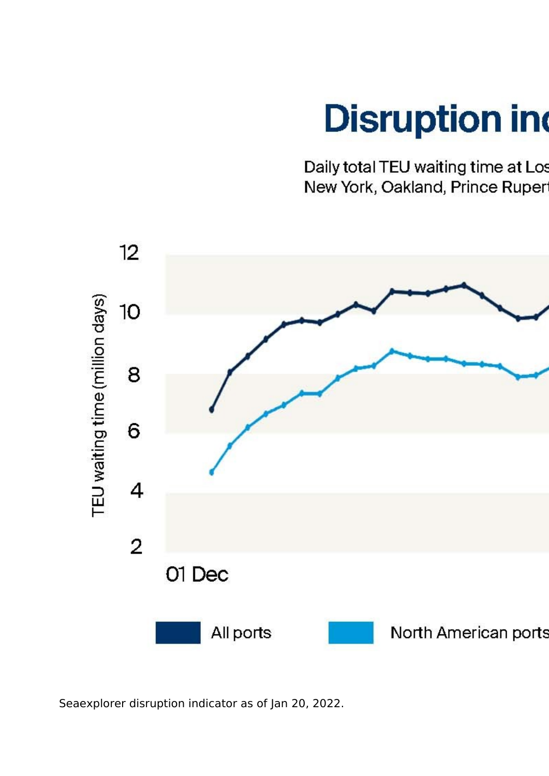## **Disruption ine**

Daily total TEU waiting time at Los New York, Oakland, Prince Ruper



Seaexplorer disruption indicator as of Jan 20, 2022.